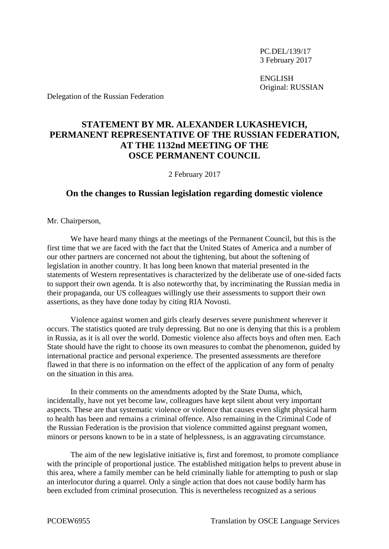PC.DEL/139/17 3 February 2017

ENGLISH Original: RUSSIAN

Delegation of the Russian Federation

## **STATEMENT BY MR. ALEXANDER LUKASHEVICH, PERMANENT REPRESENTATIVE OF THE RUSSIAN FEDERATION, AT THE 1132nd MEETING OF THE OSCE PERMANENT COUNCIL**

2 February 2017

## **On the changes to Russian legislation regarding domestic violence**

Mr. Chairperson,

We have heard many things at the meetings of the Permanent Council, but this is the first time that we are faced with the fact that the United States of America and a number of our other partners are concerned not about the tightening, but about the softening of legislation in another country. It has long been known that material presented in the statements of Western representatives is characterized by the deliberate use of one-sided facts to support their own agenda. It is also noteworthy that, by incriminating the Russian media in their propaganda, our US colleagues willingly use their assessments to support their own assertions, as they have done today by citing RIA Novosti.

Violence against women and girls clearly deserves severe punishment wherever it occurs. The statistics quoted are truly depressing. But no one is denying that this is a problem in Russia, as it is all over the world. Domestic violence also affects boys and often men. Each State should have the right to choose its own measures to combat the phenomenon, guided by international practice and personal experience. The presented assessments are therefore flawed in that there is no information on the effect of the application of any form of penalty on the situation in this area.

In their comments on the amendments adopted by the State Duma, which, incidentally, have not yet become law, colleagues have kept silent about very important aspects. These are that systematic violence or violence that causes even slight physical harm to health has been and remains a criminal offence. Also remaining in the Criminal Code of the Russian Federation is the provision that violence committed against pregnant women, minors or persons known to be in a state of helplessness, is an aggravating circumstance.

The aim of the new legislative initiative is, first and foremost, to promote compliance with the principle of proportional justice. The established mitigation helps to prevent abuse in this area, where a family member can be held criminally liable for attempting to push or slap an interlocutor during a quarrel. Only a single action that does not cause bodily harm has been excluded from criminal prosecution. This is nevertheless recognized as a serious